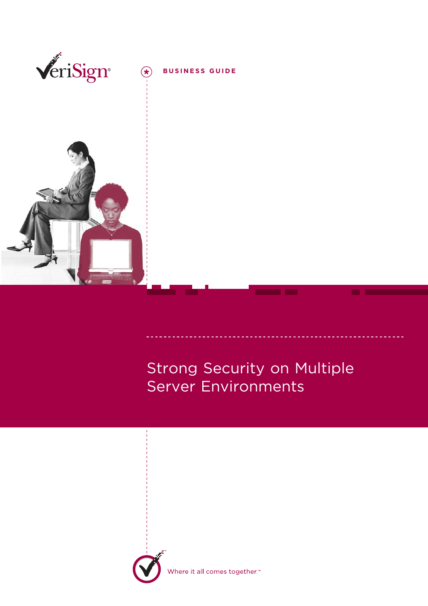

# Strong Security on Multiple Server Environments



here it all comes together.<sup>™</sup>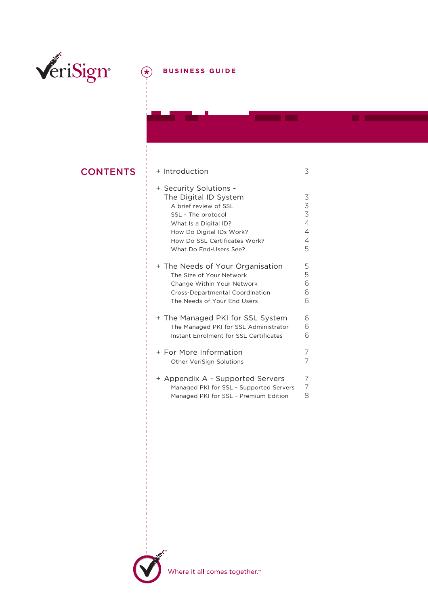

## **BUSINESS GUIDE**

### **CONTENTS**

| + Introduction                                                                                                                                                                                                 | 3                                                         |
|----------------------------------------------------------------------------------------------------------------------------------------------------------------------------------------------------------------|-----------------------------------------------------------|
| + Security Solutions -<br>The Digital ID System<br>A brief review of SSL<br>SSL - The protocol<br>What Is a Digital ID?<br>How Do Digital IDs Work?<br>How Do SSL Certificates Work?<br>What Do End-Users See? | 3<br>3<br>$\overline{3}$<br>$\overline{4}$<br>4<br>4<br>5 |
| + The Needs of Your Organisation<br>The Size of Your Network<br>Change Within Your Network<br>Cross-Departmental Coordination<br>The Needs of Your End Users                                                   | 5<br>5<br>6<br>6<br>6                                     |
| + The Managed PKI for SSL System<br>The Managed PKI for SSL Administrator<br>Instant Enrolment for SSL Certificates                                                                                            | 6<br>6<br>6                                               |
| + For More Information<br>Other VeriSign Solutions                                                                                                                                                             | 7<br>7                                                    |
| + Appendix A - Supported Servers<br>Managed PKI for SSL - Supported Servers<br>Managed PKI for SSL - Premium Edition                                                                                           | 7<br>8                                                    |

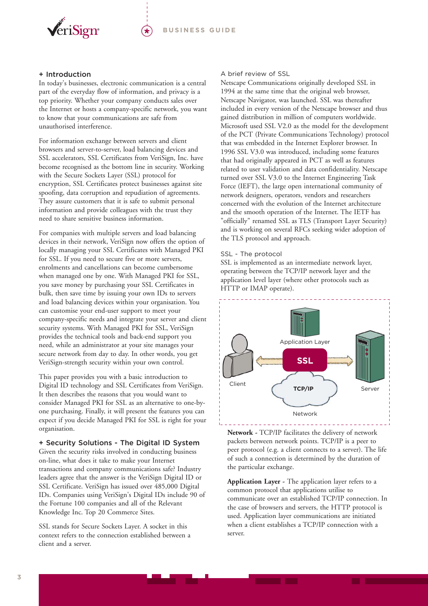

#### + Introduction

In today's businesses, electronic communication is a central part of the everyday flow of information, and privacy is a top priority. Whether your company conducts sales over the Internet or hosts a company-specific network, you want to know that your communications are safe from unauthorised interference.

For information exchange between servers and client browsers and server-to-server, load balancing devices and SSL accelerators, SSL Certificates from VeriSign, Inc. have become recognised as the bottom line in security. Working with the Secure Sockets Layer (SSL) protocol for encryption, SSL Certificates protect businesses against site spoofing, data corruption and repudiation of agreements. They assure customers that it is safe to submit personal information and provide colleagues with the trust they need to share sensitive business information.

For companies with multiple servers and load balancing devices in their network, VeriSign now offers the option of locally managing your SSL Certificates with Managed PKI for SSL. If you need to secure five or more servers, enrolments and cancellations can become cumbersome when managed one by one. With Managed PKI for SSL, you save money by purchasing your SSL Certificates in bulk, then save time by issuing your own IDs to servers and load balancing devices within your organisation. You can customise your end-user support to meet your company-specific needs and integrate your server and client security systems. With Managed PKI for SSL, VeriSign provides the technical tools and back-end support you need, while an administrator at your site manages your secure network from day to day. In other words, you get VeriSign-strength security within your own control.

This paper provides you with a basic introduction to Digital ID technology and SSL Certificates from VeriSign. It then describes the reasons that you would want to consider Managed PKI for SSL as an alternative to one-byone purchasing. Finally, it will present the features you can expect if you decide Managed PKI for SSL is right for your organisation.

+ Security Solutions - The Digital ID System Given the security risks involved in conducting business on-line, what does it take to make your Internet transactions and company communications safe? Industry leaders agree that the answer is the VeriSign Digital ID or SSL Certificate. VeriSign has issued over 485,000 Digital IDs. Companies using VeriSign's Digital IDs include 90 of the Fortune 100 companies and all of the Relevant Knowledge Inc. Top 20 Commerce Sites.

SSL stands for Secure Sockets Layer. A socket in this context refers to the connection established between a client and a server.

#### A brief review of SSL

Netscape Communications originally developed SSL in 1994 at the same time that the original web browser, Netscape Navigator, was launched. SSL was thereafter included in every version of the Netscape browser and thus gained distribution in million of computers worldwide. Microsoft used SSL V2.0 as the model for the development of the PCT (Private Communications Technology) protocol that was embedded in the Internet Explorer browser. In 1996 SSL V3.0 was introduced, including some features that had originally appeared in PCT as well as features related to user validation and data confidentiality. Netscape turned over SSL V3.0 to the Internet Engineering Task Force (IEFT), the large open international community of network designers, operators, vendors and researchers concerned with the evolution of the Internet architecture and the smooth operation of the Internet. The IETF has "officially" renamed SSL as TLS (Transport Layer Security) and is working on several RFCs seeking wider adoption of the TLS protocol and approach.

#### SSL - The protocol

SSL is implemented as an intermediate network layer, operating between the TCP/IP network layer and the application level layer (where other protocols such as HTTP or IMAP operate).



**Network -** TCP/IP facilitates the delivery of network packets between network points. TCP/IP is a peer to peer protocol (e.g. a client connects to a server). The life of such a connection is determined by the duration of the particular exchange.

**Application Layer -** The application layer refers to a common protocol that applications utilise to communicate over an established TCP/IP connection. In the case of browsers and servers, the HTTP protocol is used. Application layer communications are initiated when a client establishes a TCP/IP connection with a server.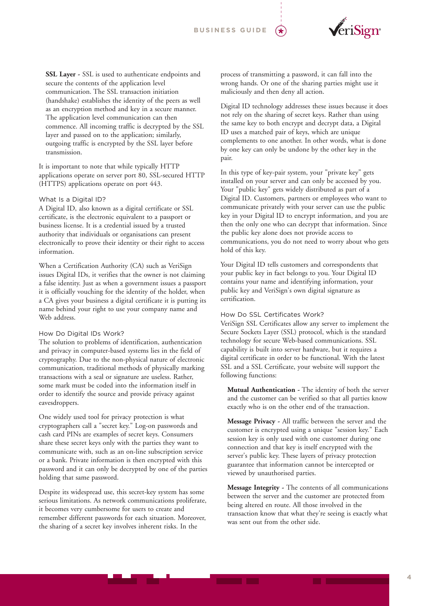

**SSL Layer -** SSL is used to authenticate endpoints and secure the contents of the application level communication. The SSL transaction initiation (handshake) establishes the identity of the peers as well as an encryption method and key in a secure manner. The application level communication can then commence. All incoming traffic is decrypted by the SSL layer and passed on to the application; similarly, outgoing traffic is encrypted by the SSL layer before transmission.

It is important to note that while typically HTTP applications operate on server port 80, SSL-secured HTTP (HTTPS) applications operate on port 443.

#### What Is a Digital ID?

A Digital ID, also known as a digital certificate or SSL certificate, is the electronic equivalent to a passport or business license. It is a credential issued by a trusted authority that individuals or organisations can present electronically to prove their identity or their right to access information.

When a Certification Authority (CA) such as VeriSign issues Digital IDs, it verifies that the owner is not claiming a false identity. Just as when a government issues a passport it is officially vouching for the identity of the holder, when a CA gives your business a digital certificate it is putting its name behind your right to use your company name and Web address.

#### How Do Digital IDs Work?

The solution to problems of identification, authentication and privacy in computer-based systems lies in the field of cryptography. Due to the non-physical nature of electronic communication, traditional methods of physically marking transactions with a seal or signature are useless. Rather, some mark must be coded into the information itself in order to identify the source and provide privacy against eavesdroppers.

One widely used tool for privacy protection is what cryptographers call a "secret key." Log-on passwords and cash card PINs are examples of secret keys. Consumers share these secret keys only with the parties they want to communicate with, such as an on-line subscription service or a bank. Private information is then encrypted with this password and it can only be decrypted by one of the parties holding that same password.

Despite its widespread use, this secret-key system has some serious limitations. As network communications proliferate, it becomes very cumbersome for users to create and remember different passwords for each situation. Moreover, the sharing of a secret key involves inherent risks. In the

process of transmitting a password, it can fall into the wrong hands. Or one of the sharing parties might use it maliciously and then deny all action.

Digital ID technology addresses these issues because it does not rely on the sharing of secret keys. Rather than using the same key to both encrypt and decrypt data, a Digital ID uses a matched pair of keys, which are unique complements to one another. In other words, what is done by one key can only be undone by the other key in the pair.

In this type of key-pair system, your "private key" gets installed on your server and can only be accessed by you. Your "public key" gets widely distributed as part of a Digital ID. Customers, partners or employees who want to communicate privately with your server can use the public key in your Digital ID to encrypt information, and you are then the only one who can decrypt that information. Since the public key alone does not provide access to communications, you do not need to worry about who gets hold of this key.

Your Digital ID tells customers and correspondents that your public key in fact belongs to you. Your Digital ID contains your name and identifying information, your public key and VeriSign's own digital signature as certification.

#### How Do SSL Certificates Work?

VeriSign SSL Certificates allow any server to implement the Secure Sockets Layer (SSL) protocol, which is the standard technology for secure Web-based communications. SSL capability is built into server hardware, but it requires a digital certificate in order to be functional. With the latest SSL and a SSL Certificate, your website will support the following functions:

**Mutual Authentication -** The identity of both the server and the customer can be verified so that all parties know exactly who is on the other end of the transaction.

**Message Privacy -** All traffic between the server and the customer is encrypted using a unique "session key." Each session key is only used with one customer during one connection and that key is itself encrypted with the server's public key. These layers of privacy protection guarantee that information cannot be intercepted or viewed by unauthorised parties.

**Message Integrity -** The contents of all communications between the server and the customer are protected from being altered en route. All those involved in the transaction know that what they're seeing is exactly what was sent out from the other side.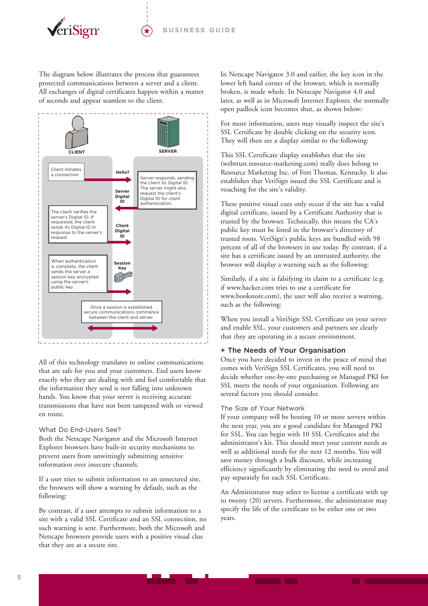

The diagram below illustrates the process that guarantees protected communications between a server and a client. All exchanges of digital certificates happen within a matter of seconds and appear seamless to the client.



All of this technology translates to online communications that are safe for you and your customers. End users know exactly who they are dealing with and feel comfortable that the information they send is not falling into unknown hands. You know that your server is receiving accurate transmissions that have not been tampered with or viewed en route.

#### What Do End-Users See?

Both the Netscape Navigator and the Microsoft Internet Explorer browsers have built-in security mechanisms to prevent users from unwittingly submitting sensitive information over insecure channels.

If a user tries to submit information to an unsecured site, the browsers will show a warning by default, such as the following:

By contrast, if a user attempts to submit information to a site with a valid SSL Certificate and an SSL connection, no such warning is sent. Furthermore, both the Microsoft and Netscape browsers provide users with a positive visual clue that they are at a secure site.

In Netscape Navigator 3.0 and earlier, the key icon in the lower left hand corner of the browser, which is normally broken, is made whole. In Netscape Navigator 4.0 and later, as well as in Microsoft Internet Explorer, the normally open padlock icon becomes shut, as shown below:

For more information, users may visually inspect the site's SSL Certificate by double clicking on the security icon. They will then see a display similar to the following:

This SSL Certificate display establishes that the site (webtrust.resource-marketing.com) really does belong to Resource Marketing Inc. of Fort Thomas, Kentucky. It also establishes that VeriSign issued the SSL Certificate and is vouching for the site's validity.

These positive visual cues only occur if the site has a valid digital certificate, issued by a Certificate Authority that is trusted by the browser. Technically, this means the CA's public key must be listed in the browser's directory of trusted roots. VeriSign's public keys are bundled with 98 percent of all of the browsers in use today. By contrast, if a site has a certificate issued by an untrusted authority, the browser will display a warning such as the following:

Similarly, if a site is falsifying its claim to a certificate (e.g. if www.hacker.com tries to use a certificate for www.bookstore.com), the user will also receive a warning, such as the following:

When you install a VeriSign SSL Certificate on your server and enable SSL, your customers and partners see clearly that they are operating in a secure environment.

#### + The Needs of Your Organisation

Once you have decided to invest in the peace of mind that comes with VeriSign SSL Certificates, you will need to decide whether one-by-one purchasing or Managed PKI for SSL meets the needs of your organisation. Following are several factors you should consider.

#### The Size of Your Network

If your company will be hosting 10 or more servers within the next year, you are a good candidate for Managed PKI for SSL. You can begin with 10 SSL Certificates and the administrator's kit. This should meet your current needs as well as additional needs for the next 12 months. You will save money through a bulk discount, while increasing efficiency significantly by eliminating the need to enrol and pay separately for each SSL Certificate.

An Administrator may select to license a certificate with up to twenty (20) servers. Furthermore, the administrator may specify the life of the certificate to be either one or two years.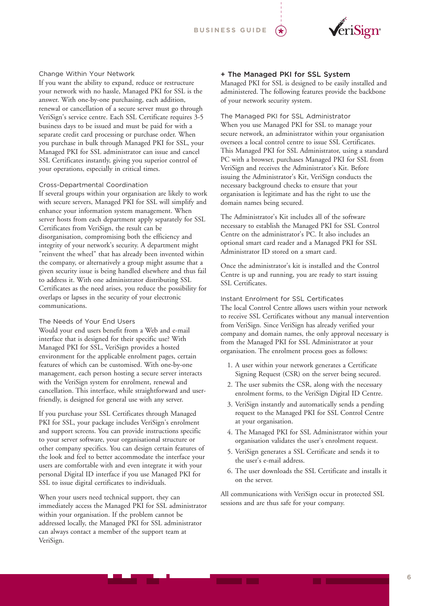

#### Change Within Your Network

If you want the ability to expand, reduce or restructure your network with no hassle, Managed PKI for SSL is the answer. With one-by-one purchasing, each addition, renewal or cancellation of a secure server must go through VeriSign's service centre. Each SSL Certificate requires 3-5 business days to be issued and must be paid for with a separate credit card processing or purchase order. When you purchase in bulk through Managed PKI for SSL, your Managed PKI for SSL administrator can issue and cancel SSL Certificates instantly, giving you superior control of your operations, especially in critical times.

#### Cross-Departmental Coordination

If several groups within your organisation are likely to work with secure servers, Managed PKI for SSL will simplify and enhance your information system management. When server hosts from each department apply separately for SSL Certificates from VeriSign, the result can be disorganisation, compromising both the efficiency and integrity of your network's security. A department might "reinvent the wheel" that has already been invented within the company, or alternatively a group might assume that a given security issue is being handled elsewhere and thus fail to address it. With one administrator distributing SSL Certificates as the need arises, you reduce the possibility for overlaps or lapses in the security of your electronic communications.

#### The Needs of Your End Users

Would your end users benefit from a Web and e-mail interface that is designed for their specific use? With Managed PKI for SSL, VeriSign provides a hosted environment for the applicable enrolment pages, certain features of which can be customised. With one-by-one management, each person hosting a secure server interacts with the VeriSign system for enrolment, renewal and cancellation. This interface, while straightforward and userfriendly, is designed for general use with any server.

If you purchase your SSL Certificates through Managed PKI for SSL, your package includes VeriSign's enrolment and support screens. You can provide instructions specific to your server software, your organisational structure or other company specifics. You can design certain features of the look and feel to better accommodate the interface your users are comfortable with and even integrate it with your personal Digital ID interface if you use Managed PKI for SSL to issue digital certificates to individuals.

When your users need technical support, they can immediately access the Managed PKI for SSL administrator within your organisation. If the problem cannot be addressed locally, the Managed PKI for SSL administrator can always contact a member of the support team at VeriSign.

#### + The Managed PKI for SSL System

Managed PKI for SSL is designed to be easily installed and administered. The following features provide the backbone of your network security system.

The Managed PKI for SSL Administrator When you use Managed PKI for SSL to manage your secure network, an administrator within your organisation oversees a local control centre to issue SSL Certificates. This Managed PKI for SSL Administrator, using a standard PC with a browser, purchases Managed PKI for SSL from VeriSign and receives the Administrator's Kit. Before issuing the Administrator's Kit, VeriSign conducts the necessary background checks to ensure that your organisation is legitimate and has the right to use the domain names being secured.

The Administrator's Kit includes all of the software necessary to establish the Managed PKI for SSL Control Centre on the administrator's PC. It also includes an optional smart card reader and a Managed PKI for SSL Administrator ID stored on a smart card.

Once the administrator's kit is installed and the Control Centre is up and running, you are ready to start issuing SSL Certificates.

#### Instant Enrolment for SSL Certificates

The local Control Centre allows users within your network to receive SSL Certificates without any manual intervention from VeriSign. Since VeriSign has already verified your company and domain names, the only approval necessary is from the Managed PKI for SSL Administrator at your organisation. The enrolment process goes as follows:

- 1. A user within your network generates a Certificate Signing Request (CSR) on the server being secured.
- 2. The user submits the CSR, along with the necessary enrolment forms, to the VeriSign Digital ID Centre.
- 3. VeriSign instantly and automatically sends a pending request to the Managed PKI for SSL Control Centre at your organisation.
- 4. The Managed PKI for SSL Administrator within your organisation validates the user's enrolment request.
- 5. VeriSign generates a SSL Certificate and sends it to the user's e-mail address.
- 6. The user downloads the SSL Certificate and installs it on the server.

All communications with VeriSign occur in protected SSL sessions and are thus safe for your company.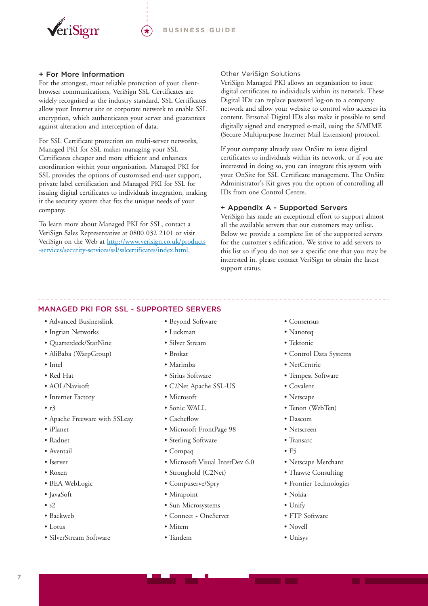

#### + For More Information

For the strongest, most reliable protection of your clientbrowser communications, VeriSign SSL Certificates are widely recognised as the industry standard. SSL Certificates allow your Internet site or corporate network to enable SSL encryption, which authenticates your server and guarantees against alteration and interception of data.

For SSL Certificate protection on multi-server networks, Managed PKI for SSL makes managing your SSL Certificates cheaper and more efficient and enhances coordination within your organisation. Managed PKI for SSL provides the options of customised end-user support, private label certification and Managed PKI for SSL for issuing digital certificates to individuals integration, making it the security system that fits the unique needs of your company.

To learn more about Managed PKI for SSL, contact a VeriSign Sales Representative at 0800 032 2101 or visit VeriSign on the Web at [http://www.verisign.co.uk/products](http://www.verisign.co.uk/products-services/security-services/ssl/ssl-certificates/index.html) [-services/security-services/ssl/sslcertificates/index.html.](http://www.verisign.co.uk/products-services/security-services/ssl/ssl-certificates/index.html)

#### Other VeriSign Solutions

VeriSign Managed PKI allows an organisation to issue digital certificates to individuals within its network. These Digital IDs can replace password log-on to a company network and allow your website to control who accesses its content. Personal Digital IDs also make it possible to send digitally signed and encrypted e-mail, using the S/MIME (Secure Multipurpose Internet Mail Extension) protocol.

If your company already uses OnSite to issue digital certificates to individuals within its network, or if you are interested in doing so, you can integrate this system with your OnSite for SSL Certificate management. The OnSite Administrator's Kit gives you the option of controlling all IDs from one Control Centre.

#### + Appendix A - Supported Servers

VeriSign has made an exceptional effort to support almost all the available servers that our customers may utilise. Below we provide a complete list of the supported servers for the customer's edification. We strive to add servers to this list so if you do not see a specific one that you may be interested in, please contact VeriSign to obtain the latest support status.

## MANAGED PKI FOR SSL - SUPPORTED SERVERS

- Advanced Businesslink
- Ingrian Networks
- Quarterdeck/StarNine
- AliBaba (WarpGroup)
- Intel
- Red Hat
- AOL/Navisoft
- Internet Factory
- $\cdot r3$
- Apache Freeware with SSLeay
- iPlanet
- Radnet
- Aventail
- Iserver
- Roxen
- BEA WebLogic
- JavaSoft
- $\cdot$  s<sub>2</sub>
- Backweb
- Lotus
- SilverStream Software
- Beyond Software
- Luckman
- Silver Stream
- Brokat
- Marimba
- Sirius Software
- C2Net Apache SSL-US
- Microsoft
- Sonic WALL
- Cacheflow
- Microsoft FrontPage 98
- Sterling Software
- Compaq
- Microsoft Visual InterDev 6.0
- Stronghold (C2Net)
- Compuserve/Spry
- Mirapoint
- Sun Microsystems
- Connect OneServer
- Mitem
- Tandem
- Consensus
- Nanoteq
- Tektonic
- Control Data Systems
- NetCentric
- Tempest Software
- Covalent
- Netscape
- Tenon (WebTen)
- Dascom
- Netscreen
- Transarc
- $\bullet$  F5
- Netscape Merchant
- Thawte Consulting
- Frontier Technologies
- Nokia
- Unify
- FTP Software
- Novell
- Unisys